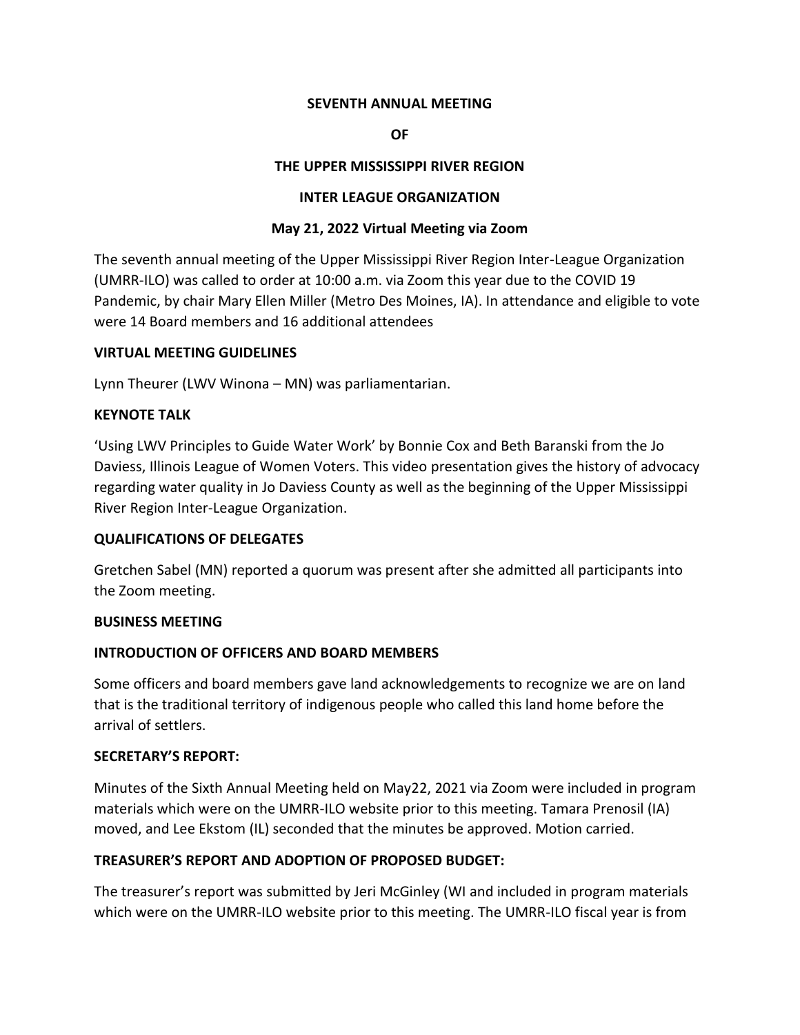## **SEVENTH ANNUAL MEETING**

## **OF**

## **THE UPPER MISSISSIPPI RIVER REGION**

## **INTER LEAGUE ORGANIZATION**

## **May 21, 2022 Virtual Meeting via Zoom**

The seventh annual meeting of the Upper Mississippi River Region Inter-League Organization (UMRR-ILO) was called to order at 10:00 a.m. via Zoom this year due to the COVID 19 Pandemic, by chair Mary Ellen Miller (Metro Des Moines, IA). In attendance and eligible to vote were 14 Board members and 16 additional attendees

#### **VIRTUAL MEETING GUIDELINES**

Lynn Theurer (LWV Winona – MN) was parliamentarian.

## **KEYNOTE TALK**

'Using LWV Principles to Guide Water Work' by Bonnie Cox and Beth Baranski from the Jo Daviess, Illinois League of Women Voters. This video presentation gives the history of advocacy regarding water quality in Jo Daviess County as well as the beginning of the Upper Mississippi River Region Inter-League Organization.

## **QUALIFICATIONS OF DELEGATES**

Gretchen Sabel (MN) reported a quorum was present after she admitted all participants into the Zoom meeting.

#### **BUSINESS MEETING**

#### **INTRODUCTION OF OFFICERS AND BOARD MEMBERS**

Some officers and board members gave land acknowledgements to recognize we are on land that is the traditional territory of indigenous people who called this land home before the arrival of settlers.

#### **SECRETARY'S REPORT:**

Minutes of the Sixth Annual Meeting held on May22, 2021 via Zoom were included in program materials which were on the UMRR-ILO website prior to this meeting. Tamara Prenosil (IA) moved, and Lee Ekstom (IL) seconded that the minutes be approved. Motion carried.

## **TREASURER'S REPORT AND ADOPTION OF PROPOSED BUDGET:**

The treasurer's report was submitted by Jeri McGinley (WI and included in program materials which were on the UMRR-ILO website prior to this meeting. The UMRR-ILO fiscal year is from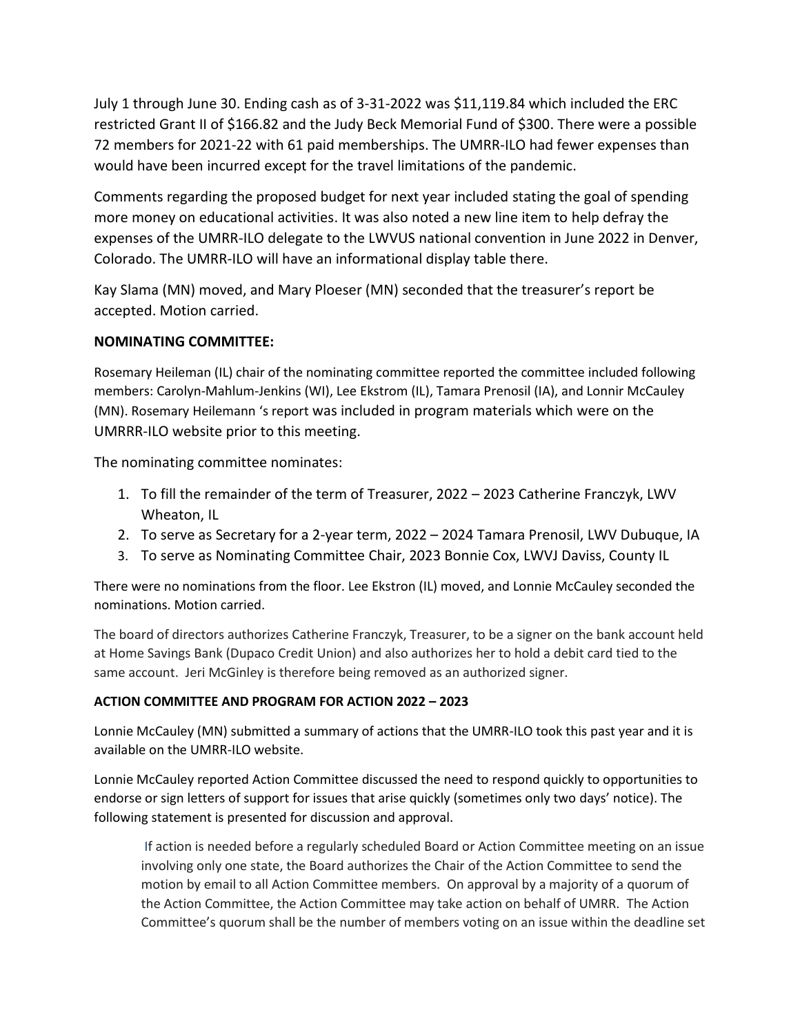July 1 through June 30. Ending cash as of 3-31-2022 was \$11,119.84 which included the ERC restricted Grant II of \$166.82 and the Judy Beck Memorial Fund of \$300. There were a possible 72 members for 2021-22 with 61 paid memberships. The UMRR-ILO had fewer expenses than would have been incurred except for the travel limitations of the pandemic.

Comments regarding the proposed budget for next year included stating the goal of spending more money on educational activities. It was also noted a new line item to help defray the expenses of the UMRR-ILO delegate to the LWVUS national convention in June 2022 in Denver, Colorado. The UMRR-ILO will have an informational display table there.

Kay Slama (MN) moved, and Mary Ploeser (MN) seconded that the treasurer's report be accepted. Motion carried.

## **NOMINATING COMMITTEE:**

Rosemary Heileman (IL) chair of the nominating committee reported the committee included following members: Carolyn-Mahlum-Jenkins (WI), Lee Ekstrom (IL), Tamara Prenosil (IA), and Lonnir McCauley (MN). Rosemary Heilemann 's report was included in program materials which were on the UMRRR-ILO website prior to this meeting.

The nominating committee nominates:

- 1. To fill the remainder of the term of Treasurer, 2022 2023 Catherine Franczyk, LWV Wheaton, IL
- 2. To serve as Secretary for a 2-year term, 2022 2024 Tamara Prenosil, LWV Dubuque, IA
- 3. To serve as Nominating Committee Chair, 2023 Bonnie Cox, LWVJ Daviss, County IL

There were no nominations from the floor. Lee Ekstron (IL) moved, and Lonnie McCauley seconded the nominations. Motion carried.

The board of directors authorizes Catherine Franczyk, Treasurer, to be a signer on the bank account held at Home Savings Bank (Dupaco Credit Union) and also authorizes her to hold a debit card tied to the same account. Jeri McGinley is therefore being removed as an authorized signer.

## **ACTION COMMITTEE AND PROGRAM FOR ACTION 2022 – 2023**

Lonnie McCauley (MN) submitted a summary of actions that the UMRR-ILO took this past year and it is available on the UMRR-ILO website.

Lonnie McCauley reported Action Committee discussed the need to respond quickly to opportunities to endorse or sign letters of support for issues that arise quickly (sometimes only two days' notice). The following statement is presented for discussion and approval.

If action is needed before a regularly scheduled Board or Action Committee meeting on an issue involving only one state, the Board authorizes the Chair of the Action Committee to send the motion by email to all Action Committee members. On approval by a majority of a quorum of the Action Committee, the Action Committee may take action on behalf of UMRR. The Action Committee's quorum shall be the number of members voting on an issue within the deadline set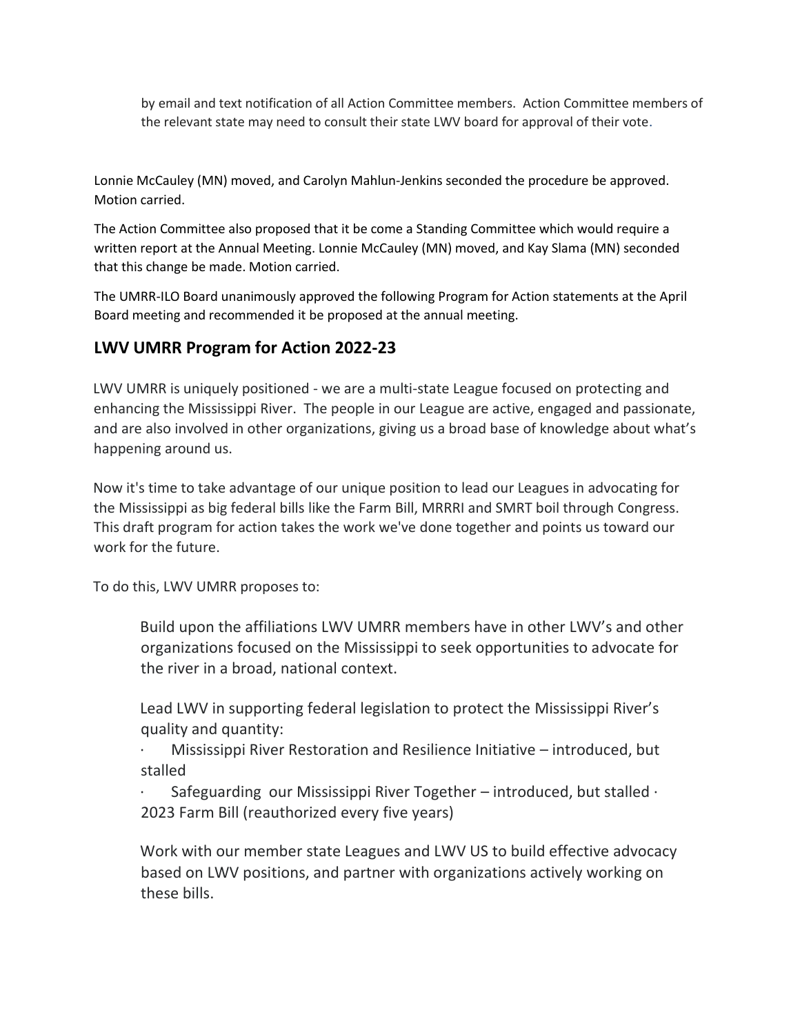by email and text notification of all Action Committee members. Action Committee members of the relevant state may need to consult their state LWV board for approval of their vote.

Lonnie McCauley (MN) moved, and Carolyn Mahlun-Jenkins seconded the procedure be approved. Motion carried.

The Action Committee also proposed that it be come a Standing Committee which would require a written report at the Annual Meeting. Lonnie McCauley (MN) moved, and Kay Slama (MN) seconded that this change be made. Motion carried.

The UMRR-ILO Board unanimously approved the following Program for Action statements at the April Board meeting and recommended it be proposed at the annual meeting.

# **LWV UMRR Program for Action 2022-23**

LWV UMRR is uniquely positioned - we are a multi-state League focused on protecting and enhancing the Mississippi River. The people in our League are active, engaged and passionate, and are also involved in other organizations, giving us a broad base of knowledge about what's happening around us.

Now it's time to take advantage of our unique position to lead our Leagues in advocating for the Mississippi as big federal bills like the Farm Bill, MRRRI and SMRT boil through Congress. This draft program for action takes the work we've done together and points us toward our work for the future.

To do this, LWV UMRR proposes to:

Build upon the affiliations LWV UMRR members have in other LWV's and other organizations focused on the Mississippi to seek opportunities to advocate for the river in a broad, national context.

Lead LWV in supporting federal legislation to protect the Mississippi River's quality and quantity:

· Mississippi River Restoration and Resilience Initiative – introduced, but stalled

Safeguarding our Mississippi River Together – introduced, but stalled  $\cdot$ 2023 Farm Bill (reauthorized every five years)

Work with our member state Leagues and LWV US to build effective advocacy based on LWV positions, and partner with organizations actively working on these bills.